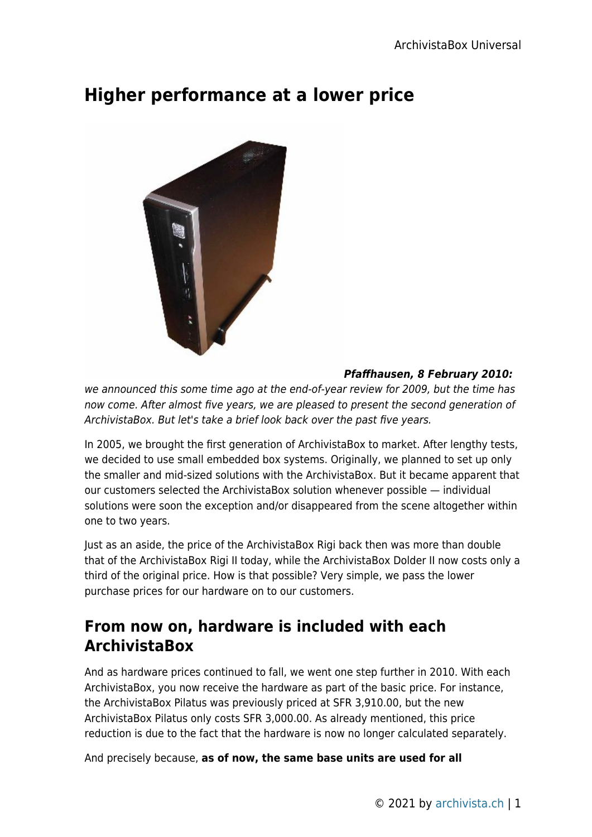# **Higher performance at a lower price**



#### *Pfaffhausen, 8 February 2010:*

we announced this some time ago at the end-of-year review for 2009, but the time has now come. After almost five years, we are pleased to present the second generation of ArchivistaBox. But let's take a brief look back over the past five years.

In 2005, we brought the first generation of ArchivistaBox to market. After lengthy tests, we decided to use small embedded box systems. Originally, we planned to set up only the smaller and mid-sized solutions with the ArchivistaBox. But it became apparent that our customers selected the ArchivistaBox solution whenever possible — individual solutions were soon the exception and/or disappeared from the scene altogether within one to two years.

Just as an aside, the price of the ArchivistaBox Rigi back then was more than double that of the ArchivistaBox Rigi II today, while the ArchivistaBox Dolder II now costs only a third of the original price. How is that possible? Very simple, we pass the lower purchase prices for our hardware on to our customers.

## **From now on, hardware is included with each ArchivistaBox**

And as hardware prices continued to fall, we went one step further in 2010. With each ArchivistaBox, you now receive the hardware as part of the basic price. For instance, the ArchivistaBox Pilatus was previously priced at SFR 3,910.00, but the new ArchivistaBox Pilatus only costs SFR 3,000.00. As already mentioned, this price reduction is due to the fact that the hardware is now no longer calculated separately.

And precisely because, **as of now, the same base units are used for all**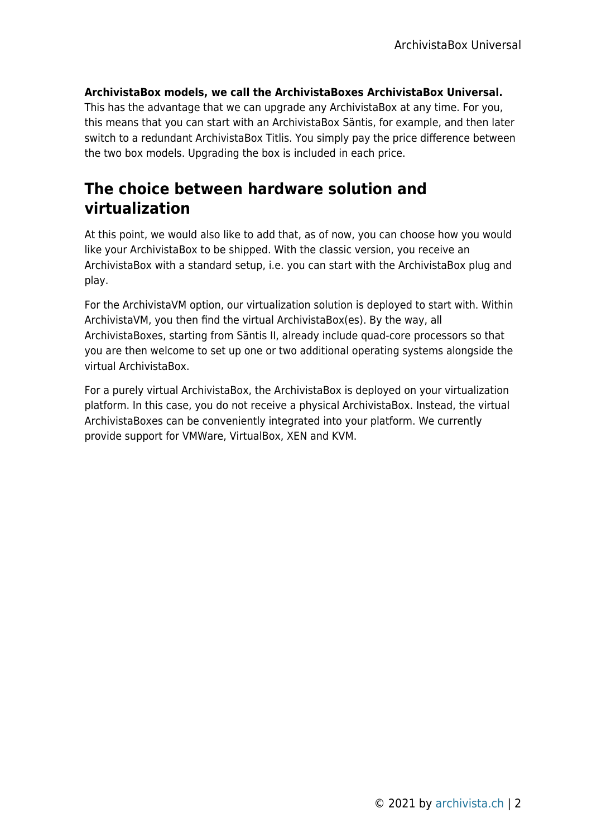#### **ArchivistaBox models, we call the ArchivistaBoxes ArchivistaBox Universal.**

This has the advantage that we can upgrade any ArchivistaBox at any time. For you, this means that you can start with an ArchivistaBox Säntis, for example, and then later switch to a redundant ArchivistaBox Titlis. You simply pay the price difference between the two box models. Upgrading the box is included in each price.

### **The choice between hardware solution and virtualization**

At this point, we would also like to add that, as of now, you can choose how you would like your ArchivistaBox to be shipped. With the classic version, you receive an ArchivistaBox with a standard setup, i.e. you can start with the ArchivistaBox plug and play.

For the ArchivistaVM option, our virtualization solution is deployed to start with. Within ArchivistaVM, you then find the virtual ArchivistaBox(es). By the way, all ArchivistaBoxes, starting from Säntis II, already include quad-core processors so that you are then welcome to set up one or two additional operating systems alongside the virtual ArchivistaBox.

For a purely virtual ArchivistaBox, the ArchivistaBox is deployed on your virtualization platform. In this case, you do not receive a physical ArchivistaBox. Instead, the virtual ArchivistaBoxes can be conveniently integrated into your platform. We currently provide support for VMWare, VirtualBox, XEN and KVM.